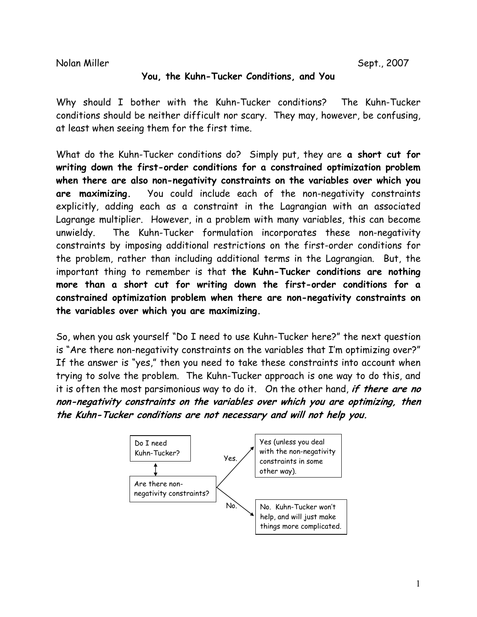Nolan Miller Sept., 2007

## **You, the Kuhn-Tucker Conditions, and You**

Why should I bother with the Kuhn-Tucker conditions? The Kuhn-Tucker conditions should be neither difficult nor scary. They may, however, be confusing, at least when seeing them for the first time.

What do the Kuhn-Tucker conditions do? Simply put, they are **a short cut for writing down the first-order conditions for a constrained optimization problem when there are also non-negativity constraints on the variables over which you are maximizing.** You could include each of the non-negativity constraints explicitly, adding each as a constraint in the Lagrangian with an associated Lagrange multiplier. However, in a problem with many variables, this can become unwieldy. The Kuhn-Tucker formulation incorporates these non-negativity constraints by imposing additional restrictions on the first-order conditions for the problem, rather than including additional terms in the Lagrangian. But, the important thing to remember is that **the Kuhn-Tucker conditions are nothing more than a short cut for writing down the first-order conditions for a constrained optimization problem when there are non-negativity constraints on the variables over which you are maximizing.** 

So, when you ask yourself "Do I need to use Kuhn-Tucker here?" the next question is "Are there non-negativity constraints on the variables that I'm optimizing over?" If the answer is "yes," then you need to take these constraints into account when trying to solve the problem. The Kuhn-Tucker approach is one way to do this, and it is often the most parsimonious way to do it. On the other hand, **if there are no non-negativity constraints on the variables over which you are optimizing, then the Kuhn-Tucker conditions are not necessary and will not help you.** 

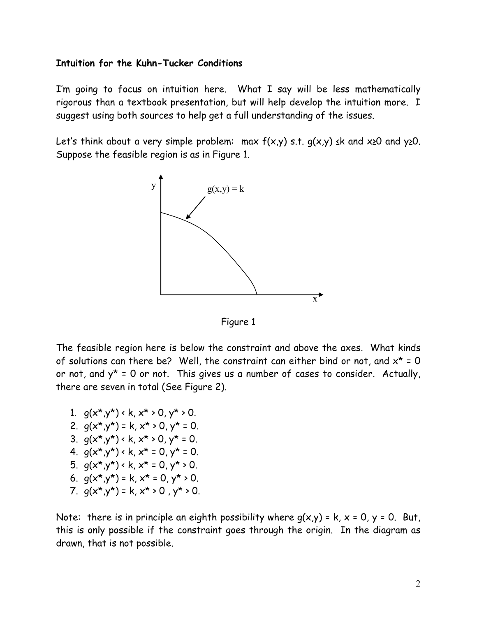## **Intuition for the Kuhn-Tucker Conditions**

I'm going to focus on intuition here. What I say will be less mathematically rigorous than a textbook presentation, but will help develop the intuition more. I suggest using both sources to help get a full understanding of the issues.

Let's think about a very simple problem: max  $f(x,y)$  s.t.  $q(x,y)$   $\leq$ k and  $x\geq0$  and  $y\geq0$ . Suppose the feasible region is as in Figure 1.



Figure 1

The feasible region here is below the constraint and above the axes. What kinds of solutions can there be? Well, the constraint can either bind or not, and  $x^* = 0$ or not, and  $y^* = 0$  or not. This gives us a number of cases to consider. Actually, there are seven in total (See Figure 2).

- 1.  $q(x^*y^*) \cdot k, x^* \cdot 0, y^* \cdot 0$ .
- 2.  $q(x^*,y^*) = k, x^* > 0, y^* = 0.$
- 3.  $q(x^*,y^*) \cdot k, x^* \cdot 0, y^* = 0.$
- 4.  $q(x^*,y^*) \cdot k, x^* = 0, y^* = 0$ .
- 5.  $q(x^*y^*) \cdot k, x^* = 0, y^* \cdot 0$ .
- 6.  $q(x^*,y^*) = k, x^* = 0, y^* > 0$ .
- 7.  $q(x^*,y^*) = k, x^* > 0, y^* > 0.$

Note: there is in principle an eighth possibility where  $g(x,y) = k$ ,  $x = 0$ ,  $y = 0$ . But, this is only possible if the constraint goes through the origin. In the diagram as drawn, that is not possible.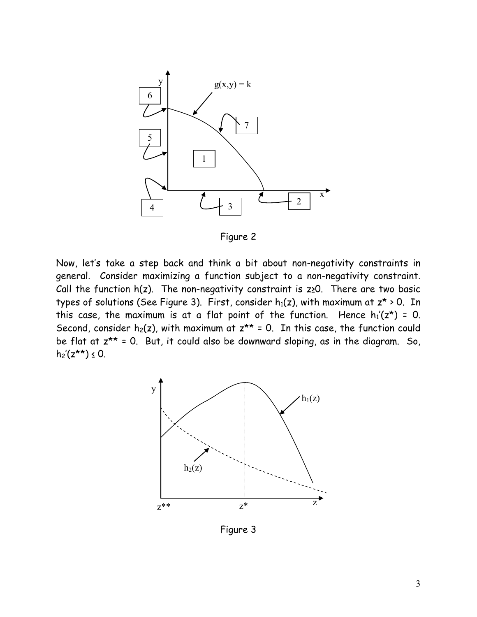

Figure 2

Now, let's take a step back and think a bit about non-negativity constraints in general. Consider maximizing a function subject to a non-negativity constraint. Call the function  $h(z)$ . The non-negativity constraint is  $z \ge 0$ . There are two basic types of solutions (See Figure 3). First, consider  $h_1(z)$ , with maximum at  $z^* \ge 0$ . In this case, the maximum is at a flat point of the function. Hence  $h_1(z^*) = 0$ . Second, consider  $h_2(z)$ , with maximum at  $z^{**} = 0$ . In this case, the function could be flat at  $z^{**}$  = 0. But, it could also be downward sloping, as in the diagram. So,  $h_2'(z^{**}) \le 0$ .



Figure 3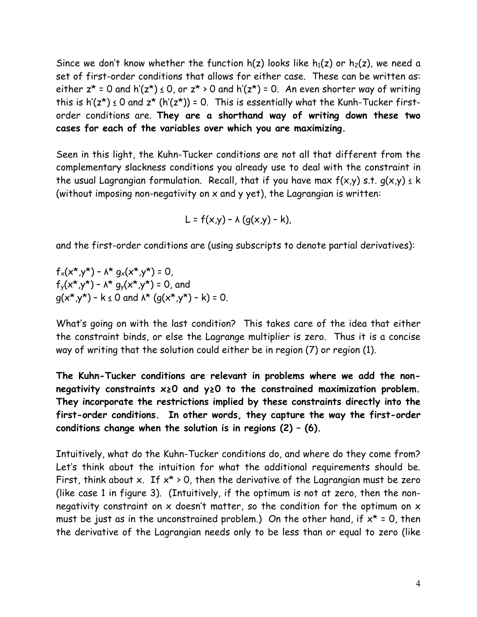Since we don't know whether the function  $h(z)$  looks like  $h_1(z)$  or  $h_2(z)$ , we need a set of first-order conditions that allows for either case. These can be written as: either  $z^* = 0$  and  $h'(z^*) \le 0$ , or  $z^* > 0$  and  $h'(z^*) = 0$ . An even shorter way of writing this is  $h'(z^*) \le 0$  and  $z^*$  ( $h'(z^*)$ ) = 0. This is essentially what the Kunh-Tucker firstorder conditions are. **They are a shorthand way of writing down these two cases for each of the variables over which you are maximizing.**

Seen in this light, the Kuhn-Tucker conditions are not all that different from the complementary slackness conditions you already use to deal with the constraint in the usual Lagrangian formulation. Recall, that if you have max  $f(x,y)$  s.t.  $g(x,y) \le k$ (without imposing non-negativity on x and y yet), the Lagrangian is written:

$$
L = f(x,y) - \lambda (g(x,y) - k),
$$

and the first-order conditions are (using subscripts to denote partial derivatives):

 $f_x(x^*y^*)$  –  $\lambda^* g_x(x^*y^*)$  = 0,  $f_y(x^*,y^*) - \lambda^* g_y(x^*,y^*) = 0$ , and  $q(x^*,y^*)$  – k  $\leq$  0 and  $\lambda^*$  ( $q(x^*,y^*)$  – k) = 0.

What's going on with the last condition? This takes care of the idea that either the constraint binds, or else the Lagrange multiplier is zero. Thus it is a concise way of writing that the solution could either be in region (7) or region (1).

**The Kuhn-Tucker conditions are relevant in problems where we add the nonnegativity constraints x≥0 and y≥0 to the constrained maximization problem. They incorporate the restrictions implied by these constraints directly into the first-order conditions. In other words, they capture the way the first-order conditions change when the solution is in regions (2) – (6).** 

Intuitively, what do the Kuhn-Tucker conditions do, and where do they come from? Let's think about the intuition for what the additional requirements should be. First, think about x. If  $x^*$  > 0, then the derivative of the Lagrangian must be zero (like case 1 in figure 3). (Intuitively, if the optimum is not at zero, then the nonnegativity constraint on  $x$  doesn't matter, so the condition for the optimum on  $x$ must be just as in the unconstrained problem.) On the other hand, if  $x^* = 0$ , then the derivative of the Lagrangian needs only to be less than or equal to zero (like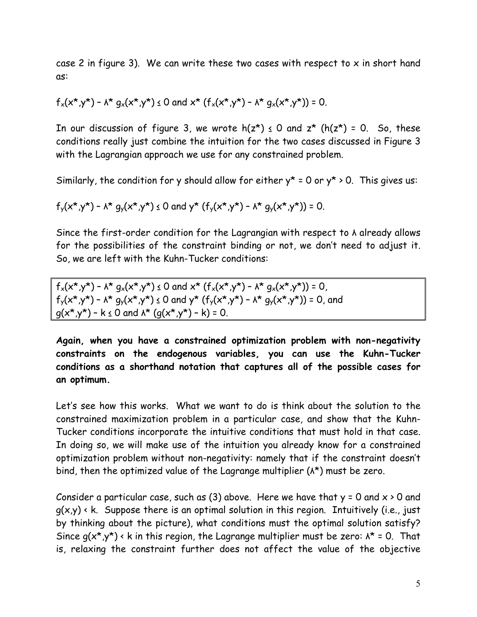case 2 in figure 3). We can write these two cases with respect to  $x$  in short hand as:

$$
f_x(x^*,y^*) - \lambda^* g_x(x^*,y^*) \le 0
$$
 and  $x^* (f_x(x^*,y^*) - \lambda^* g_x(x^*,y^*)) = 0$ .

In our discussion of figure 3, we wrote  $h(z^*) \le 0$  and  $z^*$  ( $h(z^*) = 0$ . So, these conditions really just combine the intuition for the two cases discussed in Figure 3 with the Lagrangian approach we use for any constrained problem.

Similarly, the condition for y should allow for either  $y^* = 0$  or  $y^* > 0$ . This gives us:

 $f_{y}(x^{*},y^{*}) - \lambda^{*} q_{y}(x^{*},y^{*}) \le 0$  and  $y^{*} (f_{y}(x^{*},y^{*}) - \lambda^{*} q_{y}(x^{*},y^{*})) = 0$ .

Since the first-order condition for the Lagrangian with respect to λ already allows for the possibilities of the constraint binding or not, we don't need to adjust it. So, we are left with the Kuhn-Tucker conditions:

 $f_x(x^*,y^*)$  –  $\lambda^*$   $q_x(x^*,y^*)$   $\leq 0$  and  $x^*$   $(f_x(x^*,y^*)$  –  $\lambda^*$   $q_x(x^*,y^*)$ ) = 0,  $f_{y}(x^{*},y^{*})$  –  $\Lambda^{*}$   $g_{y}(x^{*},y^{*}) \le 0$  and  $y^{*}$   $(f_{y}(x^{*},y^{*}) - \Lambda^{*}$   $g_{y}(x^{*},y^{*})) = 0$ , and  $g(x^*,y^*)$  – k  $\leq$  0 and  $\lambda^*$  ( $g(x^*,y^*)$  – k) = 0.

**Again, when you have a constrained optimization problem with non-negativity constraints on the endogenous variables, you can use the Kuhn-Tucker conditions as a shorthand notation that captures all of the possible cases for an optimum.** 

Let's see how this works. What we want to do is think about the solution to the constrained maximization problem in a particular case, and show that the Kuhn-Tucker conditions incorporate the intuitive conditions that must hold in that case. In doing so, we will make use of the intuition you already know for a constrained optimization problem without non-negativity: namely that if the constraint doesn't bind, then the optimized value of the Lagrange multiplier ( $\lambda^*$ ) must be zero.

Consider a particular case, such as (3) above. Here we have that  $y = 0$  and  $x \ge 0$  and  $g(x,y)$  < k. Suppose there is an optimal solution in this region. Intuitively (i.e., just by thinking about the picture), what conditions must the optimal solution satisfy? Since  $q(x^*,y^*) \cdot k$  in this region, the Lagrange multiplier must be zero:  $\Lambda^* = 0$ . That is, relaxing the constraint further does not affect the value of the objective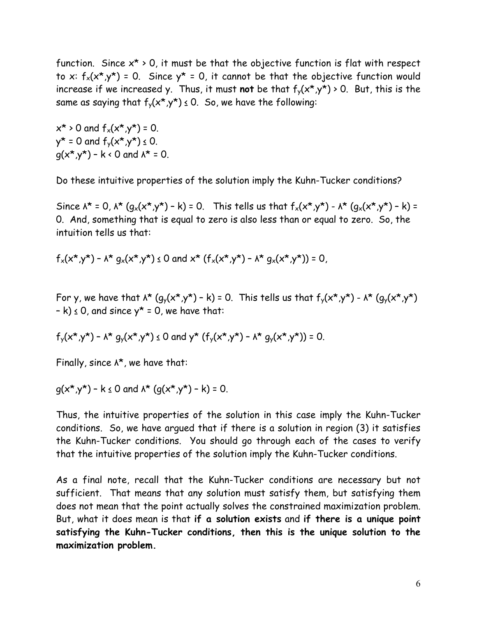function. Since  $x^* \geq 0$ , it must be that the objective function is flat with respect to x:  $f_x(x^*,y^*)$  = 0. Since  $y^*$  = 0, it cannot be that the objective function would increase if we increased y. Thus, it must **not** be that  $f_{y}(x^{*},y^{*})$  > 0. But, this is the same as saying that  $f_y(x^*,y^*) \le 0$ . So, we have the following:

 $x^* > 0$  and  $f_x(x^*,y^*) = 0$ .  $y^* = 0$  and  $f_y(x^*, y^*) \le 0$ .  $q(x^*,y^*)$  – k < 0 and  $\lambda^*$  = 0.

Do these intuitive properties of the solution imply the Kuhn-Tucker conditions?

Since  $\lambda^* = 0$ ,  $\lambda^* (q_x(x^*,y^*) - k) = 0$ . This tells us that  $f_x(x^*,y^*) - \lambda^* (q_x(x^*,y^*) - k) =$ 0. And, something that is equal to zero is also less than or equal to zero. So, the intuition tells us that:

 $f_x(x^*y^*)$  –  $\lambda^* g_x(x^*y^*) \le 0$  and  $x^* (f_x(x^*y^*) - \lambda^* g_x(x^*y^*)) = 0$ ,

For y, we have that  $\lambda^*$   $(g_y(x^*,y^*) - k) = 0$ . This tells us that  $f_y(x^*,y^*) - \lambda^*$   $(g_y(x^*,y^*))$  $-k$ )  $\leq$  0, and since  $y^*$  = 0, we have that:

$$
f_y(x^*,y^*) - \lambda^* g_y(x^*,y^*) \le 0
$$
 and  $y^* (f_y(x^*,y^*) - \lambda^* g_y(x^*,y^*)) = 0$ .

Finally, since  $\lambda^*$ , we have that:

 $q(x^*,y^*)$  – k  $\leq$  0 and  $\lambda^*$  ( $q(x^*,y^*)$  – k) = 0.

Thus, the intuitive properties of the solution in this case imply the Kuhn-Tucker conditions. So, we have argued that if there is a solution in region (3) it satisfies the Kuhn-Tucker conditions. You should go through each of the cases to verify that the intuitive properties of the solution imply the Kuhn-Tucker conditions.

As a final note, recall that the Kuhn-Tucker conditions are necessary but not sufficient. That means that any solution must satisfy them, but satisfying them does not mean that the point actually solves the constrained maximization problem. But, what it does mean is that **if a solution exists** and **if there is a unique point satisfying the Kuhn-Tucker conditions, then this is the unique solution to the maximization problem.**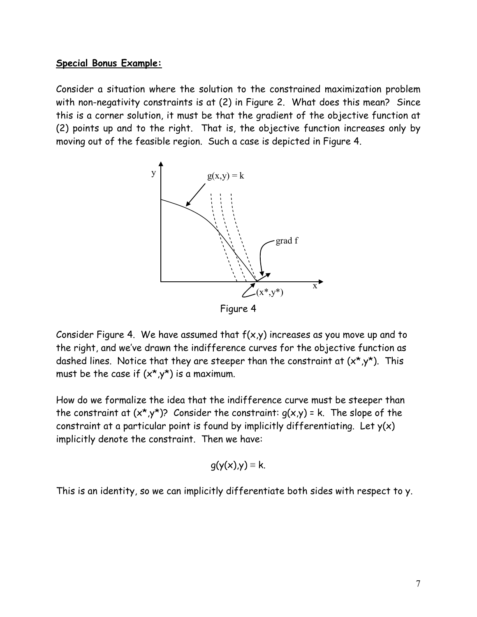## **Special Bonus Example:**

Consider a situation where the solution to the constrained maximization problem with non-negativity constraints is at (2) in Figure 2. What does this mean? Since this is a corner solution, it must be that the gradient of the objective function at (2) points up and to the right. That is, the objective function increases only by moving out of the feasible region. Such a case is depicted in Figure 4.



Consider Figure 4. We have assumed that  $f(x,y)$  increases as you move up and to the right, and we've drawn the indifference curves for the objective function as dashed lines. Notice that they are steeper than the constraint at  $(x^*,y^*)$ . This must be the case if  $(x^*,y^*)$  is a maximum.

How do we formalize the idea that the indifference curve must be steeper than the constraint at  $(x^*,y^*)$ ? Consider the constraint:  $q(x,y)$  = k. The slope of the constraint at a particular point is found by implicitly differentiating. Let  $y(x)$ implicitly denote the constraint. Then we have:

$$
g(y(x),y) \equiv k.
$$

This is an identity, so we can implicitly differentiate both sides with respect to y.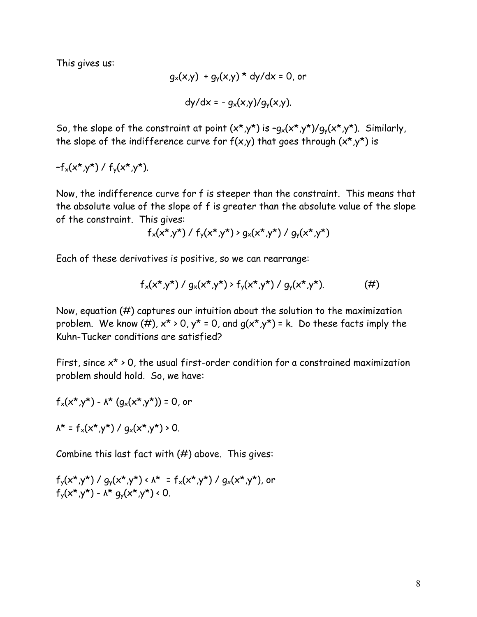This gives us:

$$
g_x(x,y) + g_y(x,y) * dy/dx = 0
$$
, or  
dy/dx = -  $g_x(x,y)/g_y(x,y)$ .

So, the slope of the constraint at point  $(x^*,y^*)$  is  $-q_x(x^*,y^*)/q_y(x^*,y^*)$ . Similarly, the slope of the indifference curve for  $f(x,y)$  that goes through  $(x^*,y^*)$  is

 $-f_x(x^*,y^*) / f_y(x^*,y^*)$ .

Now, the indifference curve for f is steeper than the constraint. This means that the absolute value of the slope of f is greater than the absolute value of the slope of the constraint. This gives:

 $f_x(x^*,y^*) / f_y(x^*,y^*) > q_x(x^*,y^*) / q_y(x^*,y^*)$ 

Each of these derivatives is positive, so we can rearrange:

$$
f_x(x^*,y^*) / g_x(x^*,y^*) > f_y(x^*,y^*) / g_y(x^*,y^*).
$$
 (#)

Now, equation (#) captures our intuition about the solution to the maximization problem. We know (#),  $x^*$  > 0,  $y^*$  = 0, and  $q(x^*,y^*)$  = k. Do these facts imply the Kuhn-Tucker conditions are satisfied?

First, since  $x^*$  > 0, the usual first-order condition for a constrained maximization problem should hold. So, we have:

$$
f_x(x^*,y^*) - \lambda^* (g_x(x^*,y^*)) = 0
$$
, or

 $\lambda^* = f_x(x^*,y^*) / q_x(x^*,y^*) > 0.$ 

Combine this last fact with  $(\#)$  above. This gives:

$$
f_y(x^*,y^*) / g_y(x^*,y^*) < \lambda^* = f_x(x^*,y^*) / g_x(x^*,y^*)
$$
, or  
 $f_y(x^*,y^*) - \lambda^* g_y(x^*,y^*) < 0$ .